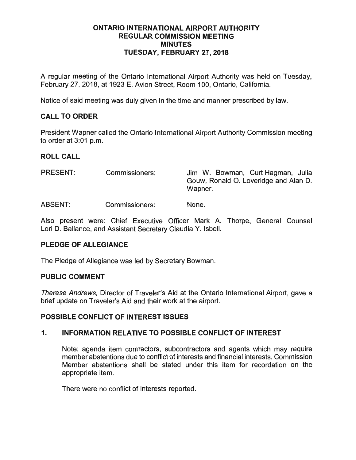#### **ONTARIO INTERNATIONAL AIRPORT AUTHORITY REGULAR COMMISSION MEETING MINUTES TUESDAY, FEBRUARY 27, 2018**

A regular meeting of the Ontario International Airport Authority was held on Tuesday, February 27, 2018, at 1923 E. Avion Street, Room 100, Ontario, California.

Notice of said meeting was duly given in the time and manner prescribed by law.

# **CALL TO ORDER**

President Wapner called the Ontario International Airport Authority Commission meeting to order at 3:01 p.m.

#### **ROLL CALL**

PRESENT: Commissioners: Jim W. Bowman, Curt Hagman, Julia Gouw, Ronald 0. Loveridge and Alan D. Wapner.

**ABSENT:**  Commissioners: None.

Also present were: Chief Executive Officer Mark A. Thorpe, General Counsel Lori D. Ballance, and Assistant Secretary Claudia Y. Isbell.

#### **PLEDGE OF ALLEGIANCE**

The Pledge of Allegiance was led by Secretary Bowman.

#### **PUBLIC COMMENT**

Therese Andrews, Director of Traveler's Aid at the Ontario International Airport, gave a brief update on Traveler's Aid and their work at the airport.

#### **POSSIBLE CONFLICT OF INTEREST ISSUES**

#### **1. INFORMATION RELATIVE TO POSSIBLE CONFLICT OF INTEREST**

Note: agenda item contractors, subcontractors and agents which may require member abstentions due to conflict of interests and financial interests. Commission Member abstentions shall be stated under this item for recordation on the appropriate item.

There were no conflict of interests reported.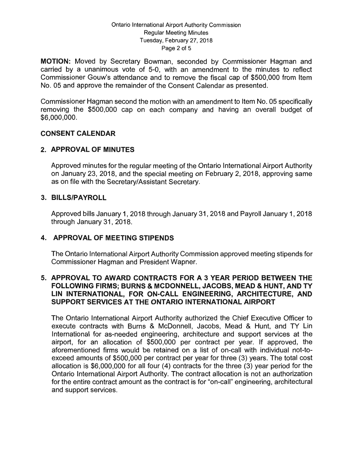#### Ontario International Airport Authority Commission Regular Meeting Minutes Tuesday, February 27, 2018 Page 2 of 5

**MOTION:** Moved by Secretary Bowman, seconded by Commissioner Hagman and carried by a unanimous vote of 5-0, with an amendment to the minutes to reflect Commissioner Gouw's attendance and to remove the fiscal cap of \$500,000 from Item No. 05 and approve the remainder of the Consent Calendar as presented.

Commissioner Hagman second the motion with an amendment to Item No. 05 specifically removing the \$500,000 cap on each company and having an overall budget of \$6,000,000.

# **CONSENT CALENDAR**

# **2. APPROVAL OF MINUTES**

Approved minutes for the regular meeting of the Ontario International Airport Authority on January 23, 2018, and the special meeting on February 2, 2018, approving same as on file with the Secretary/Assistant Secretary.

#### **3. BILLS/PAYROLL**

Approved bills January 1, 2018 through January 31, 2018 and Payroll January 1, 2018 through January 31, 2018.

# **4. APPROVAL OF MEETING STIPENDS**

The Ontario International Airport Authority Commission approved meeting stipends for Commissioner Hagman and President Wapner.

### **5. APPROVAL TO AWARD CONTRACTS FOR A 3 YEAR PERIOD BETWEEN THE FOLLOWING FIRMS; BURNS & MCDONNELL, JACOBS, MEAD & HUNT, AND TY LIN INTERNATIONAL, FOR ON-CALL ENGINEERING, ARCHITECTURE, AND SUPPORT SERVICES AT THE ONTARIO INTERNATIONAL AIRPORT**

The Ontario International Airport Authority authorized the Chief Executive Officer to execute contracts with Burns & McDonnell, Jacobs, Mead & Hunt, and TY Lin International for as-needed engineering, architecture and support services at the airport, for an allocation of \$500,000 per contract per year. If approved, the aforementioned firms would be retained on a list of on-call with individual not-toexceed amounts of \$500,000 per contract per year for three (3) years. The total cost allocation is \$6,000,000 for all four (4) contracts for the three (3) year period for the Ontario International Airport Authority. The contract allocation is not an authorization for the entire contract amount as the contract is for "on-call" engineering, architectural and support services.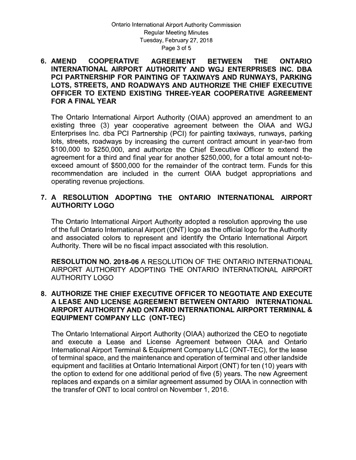#### **6. AMEND COOPERATIVE AGREEMENT BETWEEN THE ONTARIO INTERNATIONAL AIRPORT AUTHORITY AND WGJ ENTERPRISES INC. DBA PCI PARTNERSHIP FOR PAINTING OF TAXIWAYS AND RUNWAYS, PARKING LOTS, STREETS, AND ROADWAYS AND AUTHORIZE THE CHIEF EXECUTIVE OFFICER TO EXTEND EXISTING THREE-YEAR COOPERATIVE AGREEMENT FOR A FINAL YEAR**

The Ontario International Airport Authority (OIAA) approved an amendment to an existing three (3) year cooperative agreement between the OIAA and WGJ Enterprises Inc. dba PCI Partnership (PCI) for painting taxiways, runways, parking lots, streets, roadways by increasing the current contract amount in year-two from \$100,000 to \$250,000, and authorize the Chief Executive Officer to extend the agreement for a third and final year for another \$250,000, for a total amount not-toexceed amount of \$500,000 for the remainder of the contract term. Funds for this recommendation are included in the current OIAA budget appropriations and operating revenue projections.

# **7. A RESOLUTION ADOPTING THE ONTARIO INTERNATIONAL AIRPORT AUTHORITY LOGO**

The Ontario International Airport Authority adopted a resolution approving the use of the full Ontario International Airport (ONT) logo as the official logo for the Authority and associated colors to represent and identify the Ontario International Airport Authority. There will be no fiscal impact associated with this resolution.

**RESOLUTION NO. 2018-06** A RESOLUTION OF THE ONTARIO INTERNATIONAL AIRPORT AUTHORITY ADOPTING THE ONTARIO INTERNATIONAL AIRPORT AUTHORITY LOGO

### **8. AUTHORIZE THE CHIEF EXECUTIVE OFFICER TO NEGOTIATE AND EXECUTE A LEASE AND LICENSE AGREEMENT BETWEEN ONTARIO INTERNATIONAL AIRPORT AUTHORITY AND ONTARIO INTERNATIONAL AIRPORT TERMINAL** & **EQUIPMENT COMPANY LLC (ONT-TEC)**

The Ontario International Airport Authority (OIAA) authorized the CEO to negotiate and execute a Lease and License Agreement between OIAA and Ontario International Airport Terminal & Equipment Company LLC (ONT-TEC), for the lease of terminal space, and the maintenance and operation of terminal and other land side equipment and facilities at Ontario International Airport (ONT) for ten (10) years with the option to extend for one additional period of five (5) years. The new Agreement replaces and expands on a similar agreement assumed by OIAA in connection with the transfer of ONT to local control on November 1, 2016.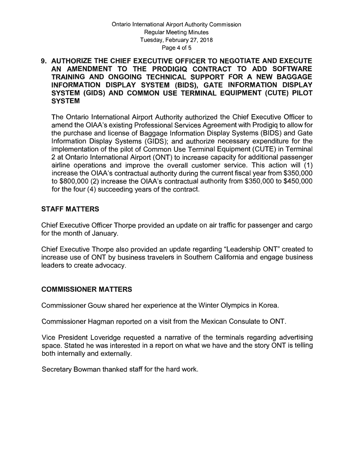#### **9. AUTHORIZE THE CHIEF EXECUTIVE OFFICER TO NEGOTIATE AND EXECUTE AN AMENDMENT TO THE PRODIGIQ CONTRACT TO ADD SOFTWARE TRAINING AND ONGOING TECHNICAL SUPPORT FOR A NEW BAGGAGE INFORMATION DISPLAY SYSTEM (BIDS), GATE INFORMATION DISPLAY SYSTEM (GIDS) AND COMMON USE TERMINAL EQUIPMENT (CUTE) PILOT SYSTEM**

The Ontario International Airport Authority authorized the Chief Executive Officer to amend the OIAA's existing Professional Services Agreement with Prodigiq to allow for the purchase and license of Baggage Information Display Systems (BIDS) and Gate Information Display Systems (GIDS); and authorize necessary expenditure for the implementation of the pilot of Common Use Terminal Equipment (CUTE) in Terminal 2 at Ontario International Airport (ONT) to increase capacity for additional passenger airline operations and improve the overall customer service. This action will ( 1) increase the OIAA's contractual authority during the current fiscal year from \$350,000 to \$800,000 (2) increase the OIAA's contractual authority from \$350,000 to \$450,000 for the four (4) succeeding years of the contract.

#### **STAFF MATTERS**

Chief Executive Officer Thorpe provided an update on air traffic for passenger and cargo for the month of January.

Chief Executive Thorpe also provided an update regarding "Leadership ONT" created to increase use of ONT by business travelers in Southern California and engage business leaders to create advocacy.

#### **COMMISSIONER MATTERS**

Commissioner Gouw shared her experience at the Winter Olympics in Korea.

Commissioner Hagman reported on a visit from the Mexican Consulate to ONT.

Vice President Loveridge requested a narrative of the terminals regarding advertising space. Stated he was interested in a report on what we have and the story ONT is telling both internally and externally.

Secretary Bowman thanked staff for the hard work.